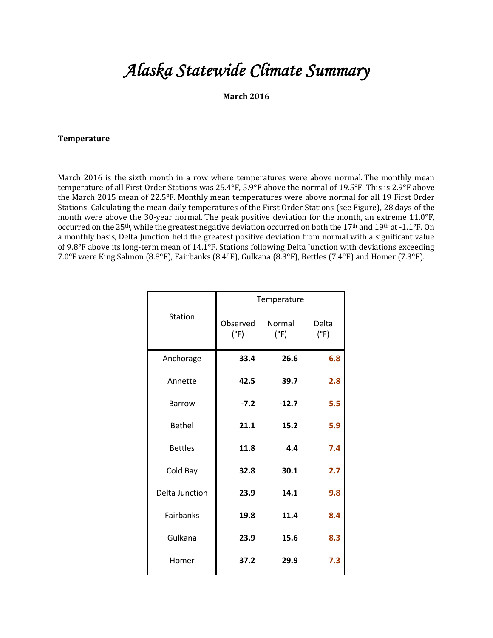# *Alaska Statewide Climate Summary*

## **March 2016**

#### **Temperature**

March 2016 is the sixth month in a row where temperatures were above normal. The monthly mean temperature of all First Order Stations was 25.4°F, 5.9°F above the normal of 19.5°F. This is 2.9°F above the March 2015 mean of 22.5°F. Monthly mean temperatures were above normal for all 19 First Order Stations. Calculating the mean daily temperatures of the First Order Stations (see Figure), 28 days of the month were above the 30-year normal. The peak positive deviation for the month, an extreme 11.0°F, occurred on the 25<sup>th</sup>, while the greatest negative deviation occurred on both the 17<sup>th</sup> and 19<sup>th</sup> at -1.1°F. On a monthly basis, Delta Junction held the greatest positive deviation from normal with a significant value of 9.8°F above its long-term mean of 14.1°F. Stations following Delta Junction with deviations exceeding 7.0°F were King Salmon (8.8°F), Fairbanks (8.4°F), Gulkana (8.3°F), Bettles (7.4°F) and Homer (7.3°F).

|                       |                  | Temperature             |               |  |  |  |
|-----------------------|------------------|-------------------------|---------------|--|--|--|
| <b>Station</b>        | Observed<br>(°F) | Normal<br>$(^{\circ}F)$ | Delta<br>(°F) |  |  |  |
| Anchorage             | 33.4             | 26.6                    | 6.8           |  |  |  |
| Annette               | 42.5             | 39.7                    | 2.8           |  |  |  |
| Barrow                | $-7.2$           | $-12.7$                 | 5.5           |  |  |  |
| <b>Bethel</b>         | 21.1             | 15.2                    | 5.9           |  |  |  |
| <b>Bettles</b>        | 11.8             | 4.4                     | 7.4           |  |  |  |
| Cold Bay              | 32.8             | 30.1                    | 2.7           |  |  |  |
| <b>Delta Junction</b> | 23.9             | 14.1                    | 9.8           |  |  |  |
| <b>Fairbanks</b>      | 19.8             | 11.4                    | 8.4           |  |  |  |
| Gulkana               | 23.9             | 15.6                    | 8.3           |  |  |  |
| Homer                 | 37.2             | 29.9                    | 7.3           |  |  |  |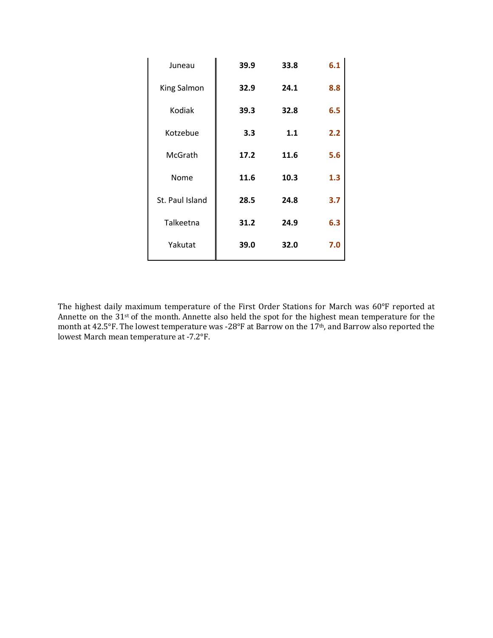| Juneau          | 39.9 | 33.8 | 6.1 |
|-----------------|------|------|-----|
| King Salmon     | 32.9 | 24.1 | 8.8 |
| Kodiak          | 39.3 | 32.8 | 6.5 |
| Kotzebue        | 3.3  | 1.1  | 2.2 |
| McGrath         | 17.2 | 11.6 | 5.6 |
| Nome            | 11.6 | 10.3 | 1.3 |
| St. Paul Island | 28.5 | 24.8 | 3.7 |
| Talkeetna       | 31.2 | 24.9 | 6.3 |
| Yakutat         | 39.0 | 32.0 | 7.0 |

The highest daily maximum temperature of the First Order Stations for March was 60°F reported at Annette on the  $31$ <sup>st</sup> of the month. Annette also held the spot for the highest mean temperature for the month at 42.5°F. The lowest temperature was -28°F at Barrow on the 17<sup>th</sup>, and Barrow also reported the lowest March mean temperature at -7.2°F.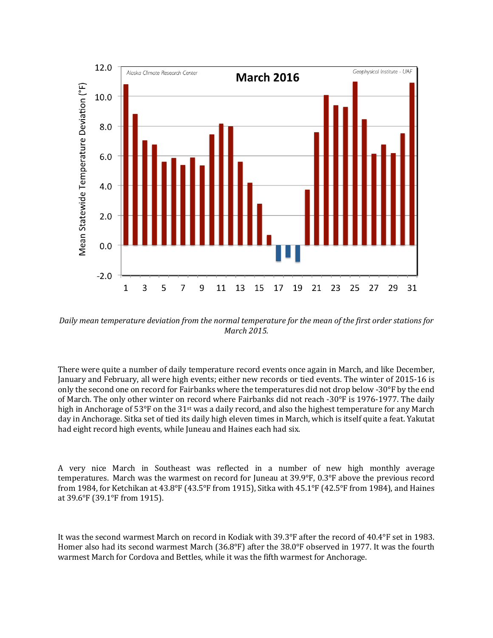

Daily mean temperature deviation from the normal temperature for the mean of the first order stations for *March 2015.*

There were quite a number of daily temperature record events once again in March, and like December, January and February, all were high events; either new records or tied events. The winter of 2015-16 is only the second one on record for Fairbanks where the temperatures did not drop below -30 $\degree$ F by the end of March. The only other winter on record where Fairbanks did not reach -30°F is 1976-1977. The daily high in Anchorage of  $53^{\circ}$ F on the  $31^{\text{st}}$  was a daily record, and also the highest temperature for any March day in Anchorage. Sitka set of tied its daily high eleven times in March, which is itself quite a feat. Yakutat had eight record high events, while Juneau and Haines each had six.

A very nice March in Southeast was reflected in a number of new high monthly average temperatures. March was the warmest on record for Juneau at  $39.9^{\circ}F$ ,  $0.3^{\circ}F$  above the previous record from 1984, for Ketchikan at 43.8°F (43.5°F from 1915), Sitka with 45.1°F (42.5°F from 1984), and Haines at 39.6°F (39.1°F from 1915).

It was the second warmest March on record in Kodiak with  $39.3^{\circ}F$  after the record of  $40.4^{\circ}F$  set in 1983. Homer also had its second warmest March (36.8°F) after the  $38.0^{\circ}$ F observed in 1977. It was the fourth warmest March for Cordova and Bettles, while it was the fifth warmest for Anchorage.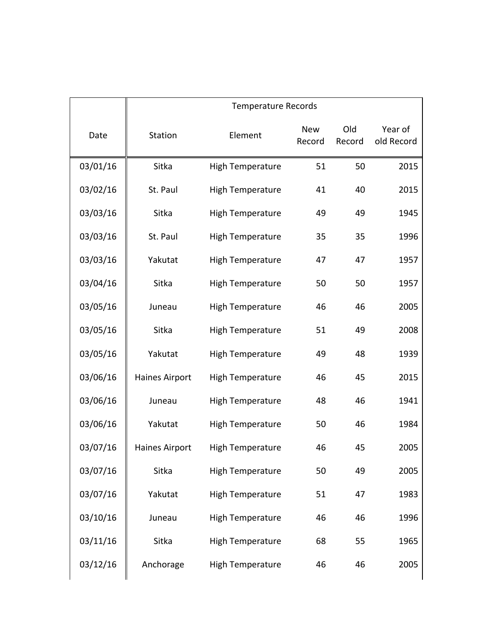|          | <b>Temperature Records</b> |                         |                      |               |                       |  |
|----------|----------------------------|-------------------------|----------------------|---------------|-----------------------|--|
| Date     | Station                    | Element                 | <b>New</b><br>Record | Old<br>Record | Year of<br>old Record |  |
| 03/01/16 | Sitka                      | <b>High Temperature</b> | 51                   | 50            | 2015                  |  |
| 03/02/16 | St. Paul                   | <b>High Temperature</b> | 41                   | 40            | 2015                  |  |
| 03/03/16 | Sitka                      | <b>High Temperature</b> | 49                   | 49            | 1945                  |  |
| 03/03/16 | St. Paul                   | <b>High Temperature</b> | 35                   | 35            | 1996                  |  |
| 03/03/16 | Yakutat                    | <b>High Temperature</b> | 47                   | 47            | 1957                  |  |
| 03/04/16 | Sitka                      | <b>High Temperature</b> | 50                   | 50            | 1957                  |  |
| 03/05/16 | Juneau                     | <b>High Temperature</b> | 46                   | 46            | 2005                  |  |
| 03/05/16 | Sitka                      | <b>High Temperature</b> | 51                   | 49            | 2008                  |  |
| 03/05/16 | Yakutat                    | <b>High Temperature</b> | 49                   | 48            | 1939                  |  |
| 03/06/16 | Haines Airport             | <b>High Temperature</b> | 46                   | 45            | 2015                  |  |
| 03/06/16 | Juneau                     | <b>High Temperature</b> | 48                   | 46            | 1941                  |  |
| 03/06/16 | Yakutat                    | <b>High Temperature</b> | 50                   | 46            | 1984                  |  |
| 03/07/16 | Haines Airport             | <b>High Temperature</b> | 46                   | 45            | 2005                  |  |
| 03/07/16 | Sitka                      | <b>High Temperature</b> | 50                   | 49            | 2005                  |  |
| 03/07/16 | Yakutat                    | <b>High Temperature</b> | 51                   | 47            | 1983                  |  |
| 03/10/16 | Juneau                     | <b>High Temperature</b> | 46                   | 46            | 1996                  |  |
| 03/11/16 | Sitka                      | <b>High Temperature</b> | 68                   | 55            | 1965                  |  |
| 03/12/16 | Anchorage                  | <b>High Temperature</b> | 46                   | 46            | 2005                  |  |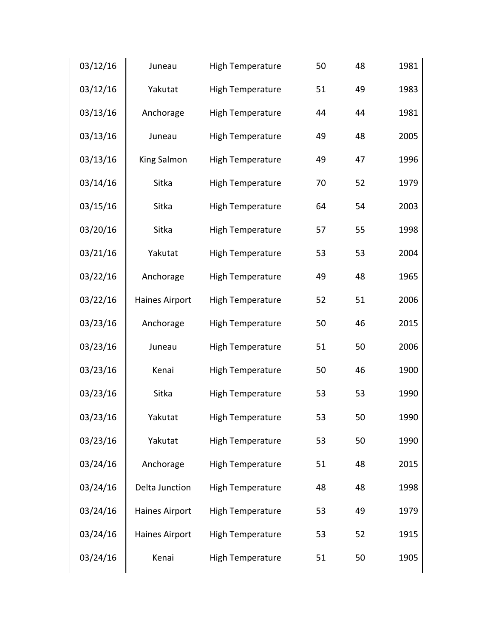| 03/12/16 | Juneau                | High Temperature        | 50 | 48 | 1981 |
|----------|-----------------------|-------------------------|----|----|------|
| 03/12/16 | Yakutat               | <b>High Temperature</b> | 51 | 49 | 1983 |
| 03/13/16 | Anchorage             | <b>High Temperature</b> | 44 | 44 | 1981 |
| 03/13/16 | Juneau                | <b>High Temperature</b> | 49 | 48 | 2005 |
| 03/13/16 | King Salmon           | <b>High Temperature</b> | 49 | 47 | 1996 |
| 03/14/16 | Sitka                 | <b>High Temperature</b> | 70 | 52 | 1979 |
| 03/15/16 | Sitka                 | <b>High Temperature</b> | 64 | 54 | 2003 |
| 03/20/16 | Sitka                 | <b>High Temperature</b> | 57 | 55 | 1998 |
| 03/21/16 | Yakutat               | <b>High Temperature</b> | 53 | 53 | 2004 |
| 03/22/16 | Anchorage             | <b>High Temperature</b> | 49 | 48 | 1965 |
| 03/22/16 | Haines Airport        | High Temperature        | 52 | 51 | 2006 |
| 03/23/16 | Anchorage             | <b>High Temperature</b> | 50 | 46 | 2015 |
| 03/23/16 | Juneau                | <b>High Temperature</b> | 51 | 50 | 2006 |
| 03/23/16 | Kenai                 | <b>High Temperature</b> | 50 | 46 | 1900 |
| 03/23/16 | Sitka                 | <b>High Temperature</b> | 53 | 53 | 1990 |
| 03/23/16 | Yakutat               | <b>High Temperature</b> | 53 | 50 | 1990 |
| 03/23/16 | Yakutat               | <b>High Temperature</b> | 53 | 50 | 1990 |
| 03/24/16 | Anchorage             | <b>High Temperature</b> | 51 | 48 | 2015 |
| 03/24/16 | Delta Junction        | <b>High Temperature</b> | 48 | 48 | 1998 |
| 03/24/16 | <b>Haines Airport</b> | <b>High Temperature</b> | 53 | 49 | 1979 |
| 03/24/16 | <b>Haines Airport</b> | <b>High Temperature</b> | 53 | 52 | 1915 |
| 03/24/16 | Kenai                 | High Temperature        | 51 | 50 | 1905 |
|          |                       |                         |    |    |      |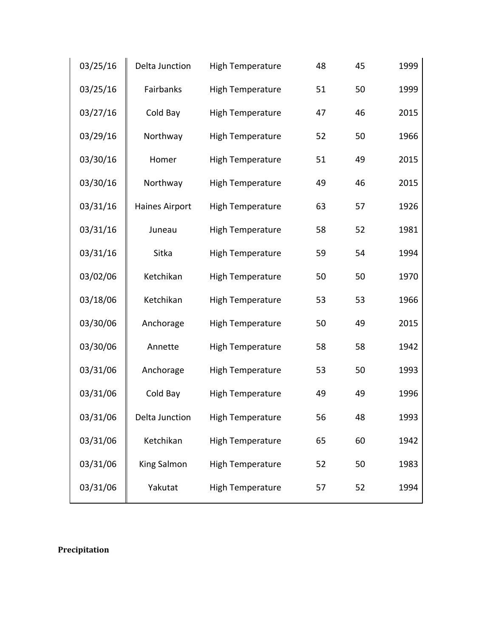| 03/25/16 | Delta Junction | <b>High Temperature</b> | 48 | 45 | 1999 |
|----------|----------------|-------------------------|----|----|------|
| 03/25/16 | Fairbanks      | High Temperature        | 51 | 50 | 1999 |
| 03/27/16 | Cold Bay       | High Temperature        | 47 | 46 | 2015 |
| 03/29/16 | Northway       | High Temperature        | 52 | 50 | 1966 |
| 03/30/16 | Homer          | High Temperature        | 51 | 49 | 2015 |
| 03/30/16 | Northway       | High Temperature        | 49 | 46 | 2015 |
| 03/31/16 | Haines Airport | High Temperature        | 63 | 57 | 1926 |
| 03/31/16 | Juneau         | <b>High Temperature</b> | 58 | 52 | 1981 |
| 03/31/16 | Sitka          | High Temperature        | 59 | 54 | 1994 |
| 03/02/06 | Ketchikan      | High Temperature        | 50 | 50 | 1970 |
| 03/18/06 | Ketchikan      | High Temperature        | 53 | 53 | 1966 |
| 03/30/06 | Anchorage      | <b>High Temperature</b> | 50 | 49 | 2015 |
| 03/30/06 | Annette        | <b>High Temperature</b> | 58 | 58 | 1942 |
| 03/31/06 | Anchorage      | High Temperature        | 53 | 50 | 1993 |
| 03/31/06 | Cold Bay       | High Temperature        | 49 | 49 | 1996 |
| 03/31/06 | Delta Junction | <b>High Temperature</b> | 56 | 48 | 1993 |
| 03/31/06 | Ketchikan      | High Temperature        | 65 | 60 | 1942 |
| 03/31/06 | King Salmon    | <b>High Temperature</b> | 52 | 50 | 1983 |
| 03/31/06 | Yakutat        | <b>High Temperature</b> | 57 | 52 | 1994 |

**Precipitation**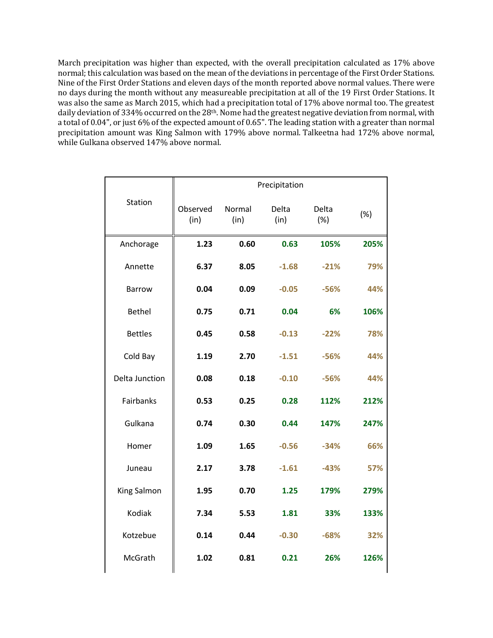March precipitation was higher than expected, with the overall precipitation calculated as 17% above normal; this calculation was based on the mean of the deviations in percentage of the First Order Stations. Nine of the First Order Stations and eleven days of the month reported above normal values. There were no days during the month without any measureable precipitation at all of the 19 First Order Stations. It was also the same as March 2015, which had a precipitation total of 17% above normal too. The greatest daily deviation of 334% occurred on the 28<sup>th</sup>. Nome had the greatest negative deviation from normal, with a total of 0.04", or just 6% of the expected amount of 0.65". The leading station with a greater than normal precipitation amount was King Salmon with 179% above normal. Talkeetna had 172% above normal, while Gulkana observed 147% above normal.

|                | Precipitation    |                |               |              |      |
|----------------|------------------|----------------|---------------|--------------|------|
| Station        | Observed<br>(in) | Normal<br>(in) | Delta<br>(in) | Delta<br>(%) | (%)  |
| Anchorage      | 1.23             | 0.60           | 0.63          | 105%         | 205% |
| Annette        | 6.37             | 8.05           | $-1.68$       | $-21%$       | 79%  |
| <b>Barrow</b>  | 0.04             | 0.09           | $-0.05$       | $-56%$       | 44%  |
| <b>Bethel</b>  | 0.75             | 0.71           | 0.04          | 6%           | 106% |
| <b>Bettles</b> | 0.45             | 0.58           | $-0.13$       | $-22%$       | 78%  |
| Cold Bay       | 1.19             | 2.70           | $-1.51$       | $-56%$       | 44%  |
| Delta Junction | 0.08             | 0.18           | $-0.10$       | $-56%$       | 44%  |
| Fairbanks      | 0.53             | 0.25           | 0.28          | 112%         | 212% |
| Gulkana        | 0.74             | 0.30           | 0.44          | 147%         | 247% |
| Homer          | 1.09             | 1.65           | $-0.56$       | $-34%$       | 66%  |
| Juneau         | 2.17             | 3.78           | $-1.61$       | $-43%$       | 57%  |
| King Salmon    | 1.95             | 0.70           | 1.25          | 179%         | 279% |
| Kodiak         | 7.34             | 5.53           | 1.81          | 33%          | 133% |
| Kotzebue       | 0.14             | 0.44           | $-0.30$       | $-68%$       | 32%  |
| McGrath        | 1.02             | 0.81           | 0.21          | 26%          | 126% |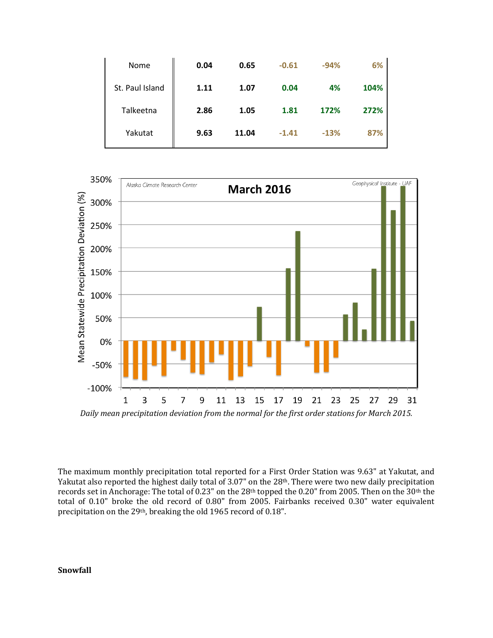| Nome            | 0.04 | 0.65  | $-0.61$ | $-94%$ | 6%   |
|-----------------|------|-------|---------|--------|------|
| St. Paul Island | 1.11 | 1.07  | 0.04    | 4%     | 104% |
| Talkeetna       | 2.86 | 1.05  | 1.81    | 172%   | 272% |
| Yakutat         | 9.63 | 11.04 | $-1.41$ | $-13%$ | 87%  |



Daily mean precipitation deviation from the normal for the first order stations for March 2015.

The maximum monthly precipitation total reported for a First Order Station was 9.63" at Yakutat, and Yakutat also reported the highest daily total of 3.07" on the 28<sup>th</sup>. There were two new daily precipitation records set in Anchorage: The total of 0.23" on the 28<sup>th</sup> topped the 0.20" from 2005. Then on the 30<sup>th</sup> the total of 0.10" broke the old record of 0.80" from 2005. Fairbanks received 0.30" water equivalent precipitation on the 29<sup>th</sup>, breaking the old 1965 record of 0.18".

## **Snowfall**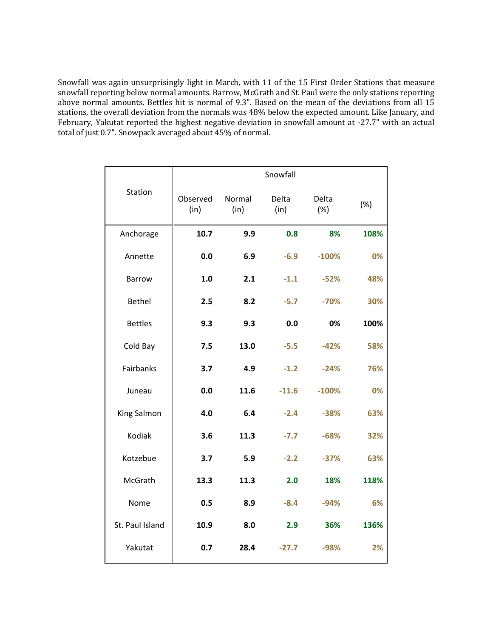Snowfall was again unsurprisingly light in March, with 11 of the 15 First Order Stations that measure snowfall reporting below normal amounts. Barrow, McGrath and St. Paul were the only stations reporting above normal amounts. Bettles hit is normal of 9.3". Based on the mean of the deviations from all  $15$ stations, the overall deviation from the normals was 48% below the expected amount. Like January, and February, Yakutat reported the highest negative deviation in snowfall amount at -27.7" with an actual total of just 0.7". Snowpack averaged about 45% of normal.

|                  |                  |                | Snowfall      |              |      |
|------------------|------------------|----------------|---------------|--------------|------|
| Station          | Observed<br>(in) | Normal<br>(in) | Delta<br>(in) | Delta<br>(%) | (%)  |
| Anchorage        | 10.7             | 9.9            | 0.8           | 8%           | 108% |
| Annette          | 0.0              | 6.9            | $-6.9$        | $-100%$      | 0%   |
| <b>Barrow</b>    | 1.0              | 2.1            | $-1.1$        | $-52%$       | 48%  |
| <b>Bethel</b>    | 2.5              | 8.2            | $-5.7$        | $-70%$       | 30%  |
| <b>Bettles</b>   | 9.3              | 9.3            | 0.0           | 0%           | 100% |
| Cold Bay         | 7.5              | 13.0           | $-5.5$        | $-42%$       | 58%  |
| <b>Fairbanks</b> | 3.7              | 4.9            | $-1.2$        | $-24%$       | 76%  |
| Juneau           | 0.0              | 11.6           | $-11.6$       | $-100%$      | 0%   |
| King Salmon      | 4.0              | 6.4            | $-2.4$        | $-38%$       | 63%  |
| Kodiak           | 3.6              | 11.3           | $-7.7$        | $-68%$       | 32%  |
| Kotzebue         | 3.7              | 5.9            | $-2.2$        | $-37%$       | 63%  |
| McGrath          | 13.3             | 11.3           | 2.0           | 18%          | 118% |
| Nome             | 0.5              | 8.9            | $-8.4$        | $-94%$       | 6%   |
| St. Paul Island  | 10.9             | 8.0            | 2.9           | 36%          | 136% |
| Yakutat          | 0.7              | 28.4           | $-27.7$       | $-98%$       | 2%   |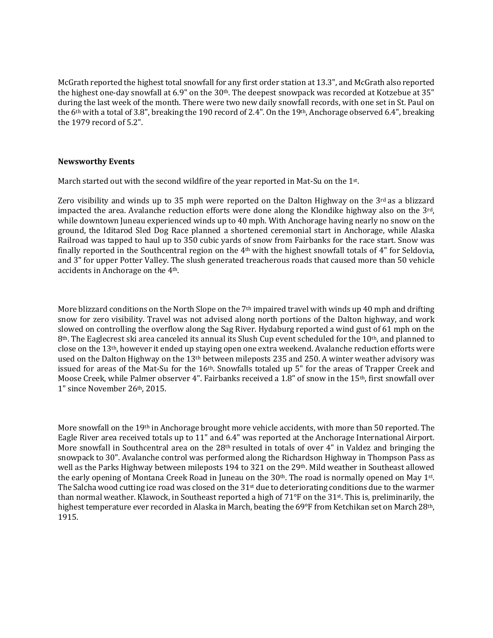McGrath reported the highest total snowfall for any first order station at 13.3", and McGrath also reported the highest one-day snowfall at 6.9" on the 30<sup>th</sup>. The deepest snowpack was recorded at Kotzebue at 35" during the last week of the month. There were two new daily snowfall records, with one set in St. Paul on the  $6th$  with a total of 3.8", breaking the 190 record of 2.4". On the 19th, Anchorage observed 6.4", breaking the 1979 record of 5.2".

### **Newsworthy Events**

March started out with the second wildfire of the year reported in Mat-Su on the 1st.

Zero visibility and winds up to 35 mph were reported on the Dalton Highway on the  $3<sup>rd</sup>$  as a blizzard impacted the area. Avalanche reduction efforts were done along the Klondike highway also on the  $3<sup>rd</sup>$ , while downtown Juneau experienced winds up to 40 mph. With Anchorage having nearly no snow on the ground, the Iditarod Sled Dog Race planned a shortened ceremonial start in Anchorage, while Alaska Railroad was tapped to haul up to 350 cubic vards of snow from Fairbanks for the race start. Snow was finally reported in the Southcentral region on the  $4<sup>th</sup>$  with the highest snowfall totals of  $4<sup>th</sup>$  for Seldovia, and 3" for upper Potter Valley. The slush generated treacherous roads that caused more than 50 vehicle accidents in Anchorage on the 4<sup>th</sup>.

More blizzard conditions on the North Slope on the  $7<sup>th</sup>$  impaired travel with winds up 40 mph and drifting snow for zero visibility. Travel was not advised along north portions of the Dalton highway, and work slowed on controlling the overflow along the Sag River. Hydaburg reported a wind gust of 61 mph on the  $8<sup>th</sup>$ . The Eaglecrest ski area canceled its annual its Slush Cup event scheduled for the 10<sup>th</sup>, and planned to close on the 13<sup>th</sup>, however it ended up staying open one extra weekend. Avalanche reduction efforts were used on the Dalton Highway on the 13<sup>th</sup> between mileposts 235 and 250. A winter weather advisory was issued for areas of the Mat-Su for the  $16<sup>th</sup>$ . Snowfalls totaled up 5" for the areas of Trapper Creek and Moose Creek, while Palmer observer 4". Fairbanks received a 1.8" of snow in the 15<sup>th</sup>, first snowfall over 1" since November 26<sup>th</sup>, 2015.

More snowfall on the 19<sup>th</sup> in Anchorage brought more vehicle accidents, with more than 50 reported. The Eagle River area received totals up to 11" and 6.4" was reported at the Anchorage International Airport. More snowfall in Southcentral area on the  $28<sup>th</sup>$  resulted in totals of over 4" in Valdez and bringing the snowpack to 30". Avalanche control was performed along the Richardson Highway in Thompson Pass as well as the Parks Highway between mileposts 194 to 321 on the 29th. Mild weather in Southeast allowed the early opening of Montana Creek Road in Juneau on the 30<sup>th</sup>. The road is normally opened on May 1<sup>st</sup>. The Salcha wood cutting ice road was closed on the 31<sup>st</sup> due to deteriorating conditions due to the warmer than normal weather. Klawock, in Southeast reported a high of  $71^{\circ}F$  on the 31st. This is, preliminarily, the highest temperature ever recorded in Alaska in March, beating the 69°F from Ketchikan set on March 28<sup>th</sup>, 1915.